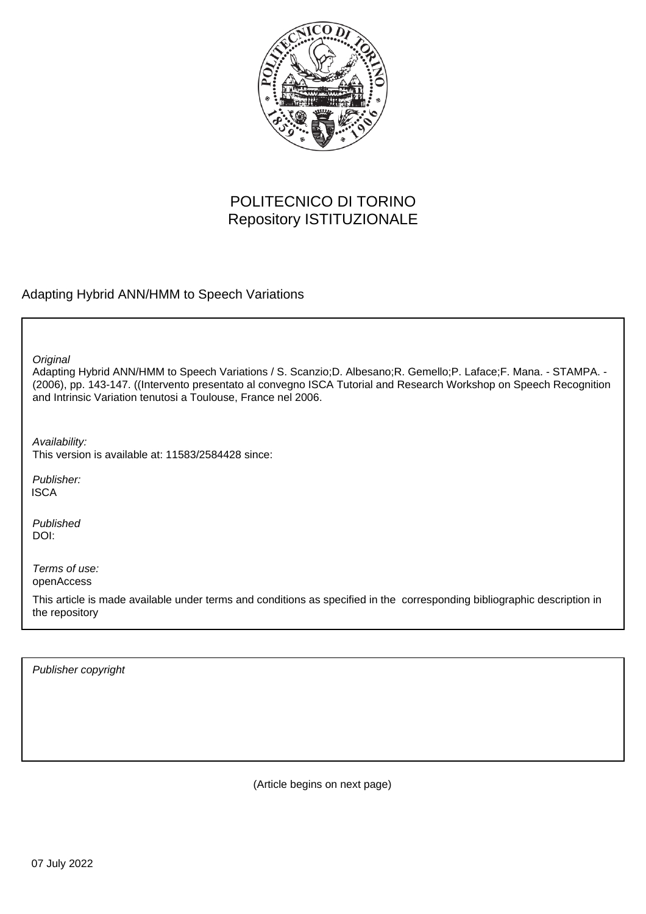

# POLITECNICO DI TORINO Repository ISTITUZIONALE

Adapting Hybrid ANN/HMM to Speech Variations

**Original** 

Adapting Hybrid ANN/HMM to Speech Variations / S. Scanzio;D. Albesano;R. Gemello;P. Laface;F. Mana. - STAMPA. - (2006), pp. 143-147. ((Intervento presentato al convegno ISCA Tutorial and Research Workshop on Speech Recognition and Intrinsic Variation tenutosi a Toulouse, France nel 2006.

Availability: This version is available at: 11583/2584428 since:

Publisher: **ISCA** 

Published DOI:

Terms of use: openAccess

This article is made available under terms and conditions as specified in the corresponding bibliographic description in the repository

Publisher copyright

(Article begins on next page)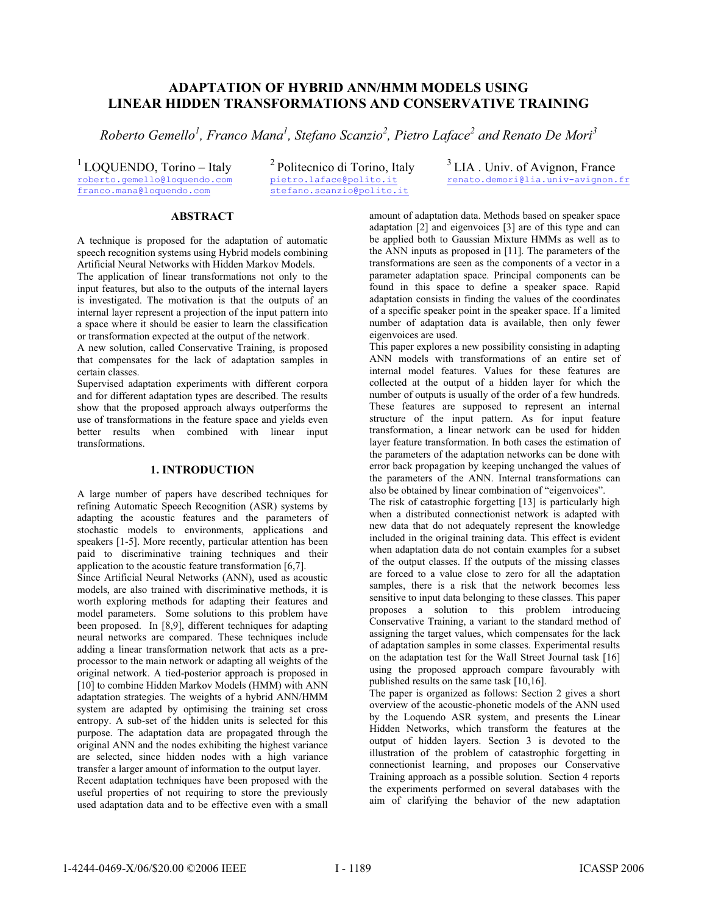# **ADAPTATION OF HYBRID ANN/HMM MODELS USING LINEAR HIDDEN TRANSFORMATIONS AND CONSERVATIVE TRAINING**

 $R$ oberto Gemello $^l$ , Franco Mana $^l$ , Stefano Scanzio $^2$ , Pietro Laface $^2$  and Renato De Mori $^3$ 

<sup>1</sup> LOOUENDO, Torino – Italy roberto.gemello@loquendo.com franco.mana@loquendo.com

<sup>2</sup> Politecnico di Torino, Italy pietro.laface@polito.it stefano.scanzio@polito.it

 $3$  LIA . Univ. of Avignon, France renato.demori@lia.univ-avignon.fr

# **ABSTRACT**

A technique is proposed for the adaptation of automatic speech recognition systems using Hybrid models combining Artificial Neural Networks with Hidden Markov Models.

The application of linear transformations not only to the input features, but also to the outputs of the internal layers is investigated. The motivation is that the outputs of an internal layer represent a projection of the input pattern into a space where it should be easier to learn the classification or transformation expected at the output of the network.

A new solution, called Conservative Training, is proposed that compensates for the lack of adaptation samples in certain classes.

Supervised adaptation experiments with different corpora and for different adaptation types are described. The results show that the proposed approach always outperforms the use of transformations in the feature space and yields even better results when combined with linear input transformations.

# **1. INTRODUCTION**

A large number of papers have described techniques for refining Automatic Speech Recognition (ASR) systems by adapting the acoustic features and the parameters of stochastic models to environments, applications and speakers [1-5]. More recently, particular attention has been paid to discriminative training techniques and their application to the acoustic feature transformation [6,7].

Since Artificial Neural Networks (ANN), used as acoustic models, are also trained with discriminative methods, it is worth exploring methods for adapting their features and model parameters. Some solutions to this problem have been proposed. In [8,9], different techniques for adapting neural networks are compared. These techniques include adding a linear transformation network that acts as a preprocessor to the main network or adapting all weights of the original network. A tied-posterior approach is proposed in [10] to combine Hidden Markov Models (HMM) with ANN adaptation strategies. The weights of a hybrid ANN/HMM system are adapted by optimising the training set cross entropy. A sub-set of the hidden units is selected for this purpose. The adaptation data are propagated through the original ANN and the nodes exhibiting the highest variance are selected, since hidden nodes with a high variance transfer a larger amount of information to the output layer. Recent adaptation techniques have been proposed with the useful properties of not requiring to store the previously used adaptation data and to be effective even with a small amount of adaptation data. Methods based on speaker space adaptation [2] and eigenvoices [3] are of this type and can be applied both to Gaussian Mixture HMMs as well as to the ANN inputs as proposed in [11]. The parameters of the transformations are seen as the components of a vector in a parameter adaptation space. Principal components can be found in this space to define a speaker space. Rapid adaptation consists in finding the values of the coordinates of a specific speaker point in the speaker space. If a limited number of adaptation data is available, then only fewer eigenvoices are used.

This paper explores a new possibility consisting in adapting ANN models with transformations of an entire set of internal model features. Values for these features are collected at the output of a hidden layer for which the number of outputs is usually of the order of a few hundreds. These features are supposed to represent an internal structure of the input pattern. As for input feature transformation, a linear network can be used for hidden layer feature transformation. In both cases the estimation of the parameters of the adaptation networks can be done with error back propagation by keeping unchanged the values of the parameters of the ANN. Internal transformations can also be obtained by linear combination of "eigenvoices".

The risk of catastrophic forgetting [13] is particularly high when a distributed connectionist network is adapted with new data that do not adequately represent the knowledge included in the original training data. This effect is evident when adaptation data do not contain examples for a subset of the output classes. If the outputs of the missing classes are forced to a value close to zero for all the adaptation samples, there is a risk that the network becomes less sensitive to input data belonging to these classes. This paper proposes a solution to this problem introducing Conservative Training, a variant to the standard method of assigning the target values, which compensates for the lack of adaptation samples in some classes. Experimental results on the adaptation test for the Wall Street Journal task [16] using the proposed approach compare favourably with published results on the same task [10,16].

The paper is organized as follows: Section 2 gives a short overview of the acoustic-phonetic models of the ANN used by the Loquendo ASR system, and presents the Linear Hidden Networks, which transform the features at the output of hidden layers. Section 3 is devoted to the illustration of the problem of catastrophic forgetting in connectionist learning, and proposes our Conservative Training approach as a possible solution. Section 4 reports the experiments performed on several databases with the aim of clarifying the behavior of the new adaptation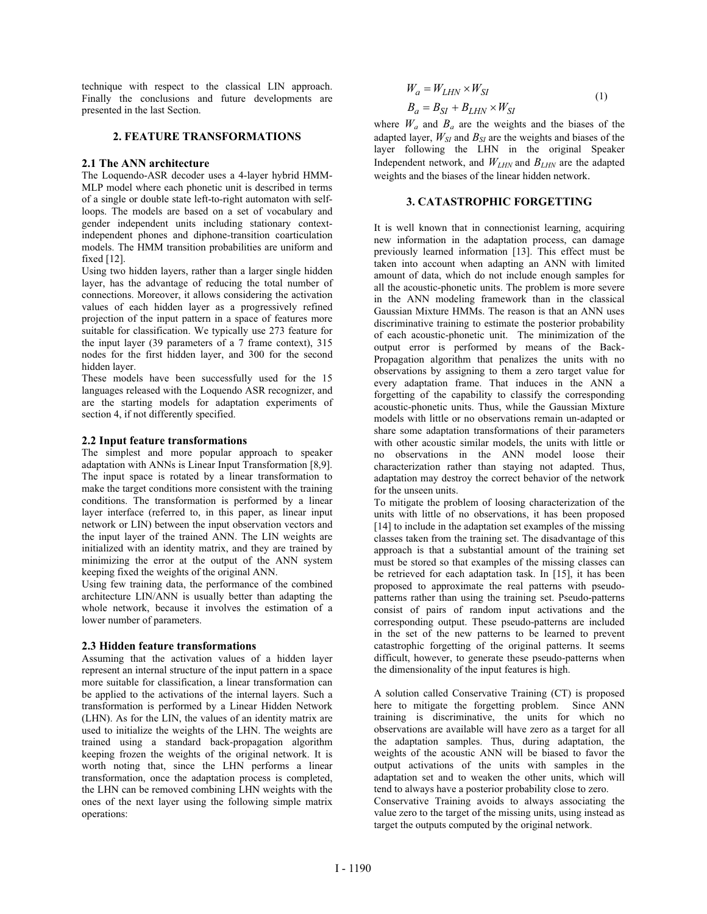technique with respect to the classical LIN approach. Finally the conclusions and future developments are  $presented in the last Section.$ 

### **2. FEATURE TRANSFORMATIONS**

### **2.1 The ANN architecture**

The Loquendo-ASR decoder uses a 4-layer hybrid HMM-MLP model where each phonetic unit is described in terms of a single or double state left-to-right automaton with selfloops. The models are based on a set of vocabulary and gender independent units including stationary contextindependent phones and diphone-transition coarticulation models. The HMM transition probabilities are uniform and fixed [12].

Using two hidden layers, rather than a larger single hidden layer, has the advantage of reducing the total number of connections. Moreover, it allows considering the activation values of each hidden layer as a progressively refined projection of the input pattern in a space of features more suitable for classification. We typically use 273 feature for the input layer (39 parameters of a 7 frame context), 315 nodes for the first hidden layer, and 300 for the second hidden layer.

These models have been successfully used for the 15 languages released with the Loquendo ASR recognizer, and are the starting models for adaptation experiments of section 4, if not differently specified.

### **2.2 Input feature transformations**

The simplest and more popular approach to speaker adaptation with ANNs is Linear Input Transformation [8,9]. The input space is rotated by a linear transformation to make the target conditions more consistent with the training conditions. The transformation is performed by a linear layer interface (referred to, in this paper, as linear input network or LIN) between the input observation vectors and the input layer of the trained ANN. The LIN weights are initialized with an identity matrix, and they are trained by minimizing the error at the output of the ANN system keeping fixed the weights of the original ANN.

Using few training data, the performance of the combined architecture LIN/ANN is usually better than adapting the whole network, because it involves the estimation of a lower number of parameters.

## **2.3 Hidden feature transformations**

Assuming that the activation values of a hidden layer represent an internal structure of the input pattern in a space more suitable for classification, a linear transformation can be applied to the activations of the internal layers. Such a transformation is performed by a Linear Hidden Network (LHN). As for the LIN, the values of an identity matrix are used to initialize the weights of the LHN. The weights are trained using a standard back-propagation algorithm keeping frozen the weights of the original network. It is worth noting that, since the LHN performs a linear transformation, once the adaptation process is completed, the LHN can be removed combining LHN weights with the ones of the next layer using the following simple matrix operations:

$$
W_a = W_{LHN} \times W_{SI}
$$
  
\n
$$
B_a = B_{SI} + B_{LHN} \times W_{SI}
$$
\n(1)

where  $W_a$  and  $B_a$  are the weights and the biases of the adapted layer,  $W_{SI}$  and  $B_{SI}$  are the weights and biases of the layer following the LHN in the original Speaker Independent network, and *WLHN* and *BLHN* are the adapted weights and the biases of the linear hidden network.

### **3. CATASTROPHIC FORGETTING**

It is well known that in connectionist learning, acquiring new information in the adaptation process, can damage previously learned information [13]. This effect must be taken into account when adapting an ANN with limited amount of data, which do not include enough samples for all the acoustic-phonetic units. The problem is more severe in the ANN modeling framework than in the classical Gaussian Mixture HMMs. The reason is that an ANN uses discriminative training to estimate the posterior probability of each acoustic-phonetic unit. The minimization of the output error is performed by means of the Back-Propagation algorithm that penalizes the units with no observations by assigning to them a zero target value for every adaptation frame. That induces in the ANN a forgetting of the capability to classify the corresponding acoustic-phonetic units. Thus, while the Gaussian Mixture models with little or no observations remain un-adapted or share some adaptation transformations of their parameters with other acoustic similar models, the units with little or no observations in the ANN model loose their characterization rather than staying not adapted. Thus, adaptation may destroy the correct behavior of the network for the unseen units.

To mitigate the problem of loosing characterization of the units with little of no observations, it has been proposed [14] to include in the adaptation set examples of the missing classes taken from the training set. The disadvantage of this approach is that a substantial amount of the training set must be stored so that examples of the missing classes can be retrieved for each adaptation task. In [15], it has been proposed to approximate the real patterns with pseudopatterns rather than using the training set. Pseudo-patterns consist of pairs of random input activations and the corresponding output. These pseudo-patterns are included in the set of the new patterns to be learned to prevent catastrophic forgetting of the original patterns. It seems difficult, however, to generate these pseudo-patterns when the dimensionality of the input features is high.

A solution called Conservative Training (CT) is proposed here to mitigate the forgetting problem. Since ANN training is discriminative, the units for which no observations are available will have zero as a target for all the adaptation samples. Thus, during adaptation, the weights of the acoustic ANN will be biased to favor the output activations of the units with samples in the adaptation set and to weaken the other units, which will tend to always have a posterior probability close to zero. Conservative Training avoids to always associating the value zero to the target of the missing units, using instead as target the outputs computed by the original network.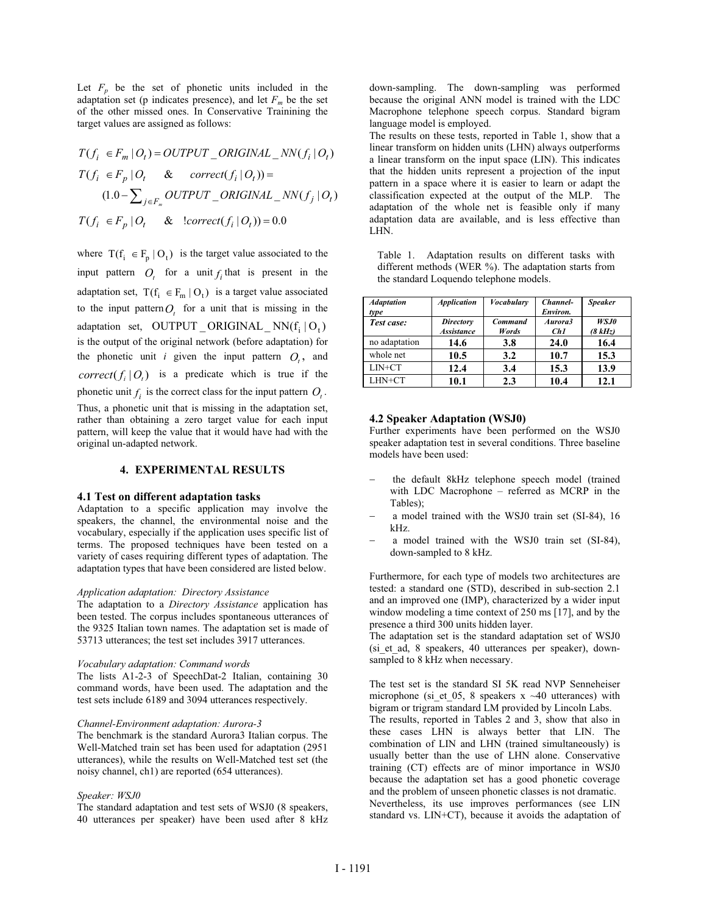Let  $F_p$  be the set of phonetic units included in the adaptation set (p indicates presence), and let  $F_m$  be the set of the other missed ones. In Conservative Trainining the target values are assigned as follows:

$$
T(f_i \in F_m | O_t) = OUTPUT \_ ORIGINAL \_NN(f_i | O_t)
$$
  
\n
$$
T(f_i \in F_p | O_t \& correct(f_i | O_t)) =
$$
  
\n
$$
(1.0 - \sum_{j \in F_m} OUTPUT \_ ORIGINAL \_ NN(f_j | O_t))
$$
  
\n
$$
T(f_i \in F_p | O_t \& correct(f_i | O_t)) = 0.0
$$

where  $T(f_i \in F_p | O_t)$  is the target value associated to the input pattern  $O_t$  for a unit  $f_i$  that is present in the adaptation set,  $T(f_i \in F_m | O_t)$  is a target value associated to the input pattern  $O_t$  for a unit that is missing in the adaptation set,  $\text{OUTPUT}\_\text{ORIGINAL}\_\text{NN}(f_i \,|\, O_t)$ is the output of the original network (before adaptation) for the phonetic unit *i* given the input pattern  $O_t$ , and  $correct(f_i | O_t)$  is a predicate which is true if the phonetic unit  $f_i$  is the correct class for the input pattern  $O_i$ . Thus, a phonetic unit that is missing in the adaptation set, rather than obtaining a zero target value for each input pattern, will keep the value that it would have had with the original un-adapted network.

# **4. EXPERIMENTAL RESULTS**

### **4.1 Test on different adaptation tasks**

Adaptation to a specific application may involve the speakers, the channel, the environmental noise and the vocabulary, especially if the application uses specific list of terms. The proposed techniques have been tested on a variety of cases requiring different types of adaptation. The adaptation types that have been considered are listed below.

#### *Application adaptation: Directory Assistance*

The adaptation to a *Directory Assistance* application has been tested. The corpus includes spontaneous utterances of the 9325 Italian town names. The adaptation set is made of 53713 utterances; the test set includes 3917 utterances.

#### *Vocabulary adaptation: Command words*

The lists A1-2-3 of SpeechDat-2 Italian, containing 30 command words, have been used. The adaptation and the test sets include 6189 and 3094 utterances respectively.

#### *Channel-Environment adaptation: Aurora-3*

The benchmark is the standard Aurora3 Italian corpus. The Well-Matched train set has been used for adaptation (2951 utterances), while the results on Well-Matched test set (the noisy channel, ch1) are reported (654 utterances).

#### *Speaker: WSJ0*

The standard adaptation and test sets of WSJ0 (8 speakers, 40 utterances per speaker) have been used after 8 kHz down-sampling. The down-sampling was performed because the original ANN model is trained with the LDC Macrophone telephone speech corpus. Standard bigram language model is employed.

The results on these tests, reported in Table 1, show that a linear transform on hidden units (LHN) always outperforms a linear transform on the input space (LIN). This indicates that the hidden units represent a projection of the input pattern in a space where it is easier to learn or adapt the classification expected at the output of the MLP. The adaptation of the whole net is feasible only if many adaptation data are available, and is less effective than LHN.

Table 1. Adaptation results on different tasks with different methods (WER %). The adaptation starts from the standard Loquendo telephone models.

| <b>Adaptation</b>  | <b>Application</b>                    | <b>Vocabulary</b>       | Channel-<br>Environ. | <b>Speaker</b>  |
|--------------------|---------------------------------------|-------------------------|----------------------|-----------------|
| type<br>Test case: | <b>Directory</b><br><b>Assistance</b> | <b>Command</b><br>Words | Aurora3              | WS.J0           |
| no adaptation      | 14.6                                  | 3.8                     | Ch1<br>24.0          | (8 kHz)<br>16.4 |
| whole net          | 10.5                                  | 3.2                     | 10.7                 | 15.3            |
| $LIN+CT$           | 12.4                                  | 3.4                     | 15.3                 | 13.9            |
| LHN+CT             | 10.1                                  | 2.3                     | 10.4                 | 12.1            |

### **4.2 Speaker Adaptation (WSJ0)**

Further experiments have been performed on the WSJ0 speaker adaptation test in several conditions. Three baseline models have been used:

- the default 8kHz telephone speech model (trained with LDC Macrophone – referred as MCRP in the Tables);
- a model trained with the WSJ0 train set (SI-84), 16 kHz.
- a model trained with the WSJ0 train set (SI-84), down-sampled to 8 kHz.

Furthermore, for each type of models two architectures are tested: a standard one (STD), described in sub-section 2.1 and an improved one (IMP), characterized by a wider input window modeling a time context of 250 ms [17], and by the presence a third 300 units hidden layer.

The adaptation set is the standard adaptation set of WSJ0 (si\_et\_ad, 8 speakers, 40 utterances per speaker), downsampled to 8 kHz when necessary.

The test set is the standard SI 5K read NVP Senneheiser microphone (si et 05, 8 speakers x  $~1$ 0 utterances) with bigram or trigram standard LM provided by Lincoln Labs.

The results, reported in Tables 2 and 3, show that also in these cases LHN is always better that LIN. The combination of LIN and LHN (trained simultaneously) is usually better than the use of LHN alone. Conservative training (CT) effects are of minor importance in WSJ0 because the adaptation set has a good phonetic coverage and the problem of unseen phonetic classes is not dramatic. Nevertheless, its use improves performances (see LIN standard vs. LIN+CT), because it avoids the adaptation of